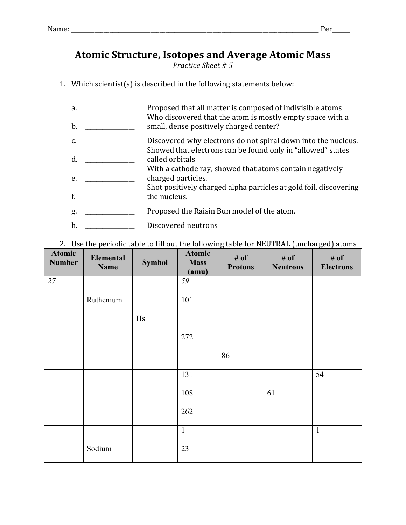## **Atomic Structure, Isotopes and Average Atomic Mass**

**Practice Sheet # 5** 

1. Which scientist(s) is described in the following statements below:

| a.<br>b. | Proposed that all matter is composed of indivisible atoms<br>Who discovered that the atom is mostly empty space with a<br>small, dense positively charged center? |
|----------|-------------------------------------------------------------------------------------------------------------------------------------------------------------------|
| C.       | Discovered why electrons do not spiral down into the nucleus.                                                                                                     |
| d.       | Showed that electrons can be found only in "allowed" states<br>called orbitals                                                                                    |
| e.       | With a cathode ray, showed that atoms contain negatively<br>charged particles.                                                                                    |
| f.       | Shot positively charged alpha particles at gold foil, discovering<br>the nucleus.                                                                                 |
| g.       | Proposed the Raisin Bun model of the atom.                                                                                                                        |
| h.       | Discovered neutrons                                                                                                                                               |

## 2. Use the periodic table to fill out the following table for NEUTRAL (uncharged) atoms

| <b>Atomic</b><br><b>Number</b> | Elemental<br><b>Name</b> | <b>Symbol</b> | <b>Atomic</b><br><b>Mass</b><br>(amu) | # of<br><b>Protons</b> | # of<br><b>Neutrons</b> | # of<br><b>Electrons</b> |
|--------------------------------|--------------------------|---------------|---------------------------------------|------------------------|-------------------------|--------------------------|
| 27                             |                          |               | 59                                    |                        |                         |                          |
|                                | Ruthenium                |               | 101                                   |                        |                         |                          |
|                                |                          | Hs            |                                       |                        |                         |                          |
|                                |                          |               | 272                                   |                        |                         |                          |
|                                |                          |               |                                       | 86                     |                         |                          |
|                                |                          |               | 131                                   |                        |                         | 54                       |
|                                |                          |               | 108                                   |                        | 61                      |                          |
|                                |                          |               | 262                                   |                        |                         |                          |
|                                |                          |               | $\mathbf{1}$                          |                        |                         | $\mathbf{1}$             |
|                                | Sodium                   |               | 23                                    |                        |                         |                          |